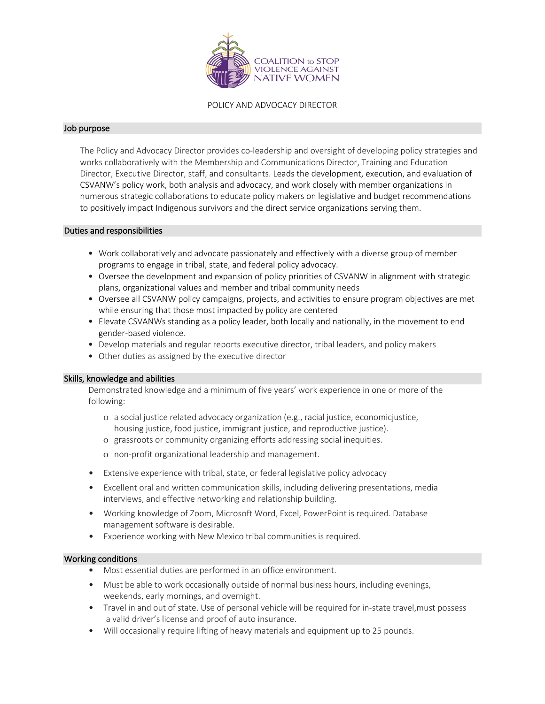

POLICY AND ADVOCACY DIRECTOR

#### Job purpose

The Policy and Advocacy Director provides co-leadership and oversight of developing policy strategies and works collaboratively with the Membership and Communications Director, Training and Education Director, Executive Director, staff, and consultants. Leads the development, execution, and evaluation of CSVANW's policy work, both analysis and advocacy, and work closely with member organizations in numerous strategic collaborations to educate policy makers on legislative and budget recommendations to positively impact Indigenous survivors and the direct service organizations serving them.

### Duties and responsibilities

- Work collaboratively and advocate passionately and effectively with a diverse group of member programs to engage in tribal, state, and federal policy advocacy.
- Oversee the development and expansion of policy priorities of CSVANW in alignment with strategic plans, organizational values and member and tribal community needs
- Oversee all CSVANW policy campaigns, projects, and activities to ensure program objectives are met while ensuring that those most impacted by policy are centered
- Elevate CSVANWs standing as a policy leader, both locally and nationally, in the movement to end gender-based violence.
- Develop materials and regular reports executive director, tribal leaders, and policy makers
- Other duties as assigned by the executive director

### Skills, knowledge and abilities

Demonstrated knowledge and a minimum of five years' work experience in one or more of the following:

- o a social justice related advocacy organization (e.g., racial justice, economicjustice, housing justice, food justice, immigrant justice, and reproductive justice).
- o grassroots or community organizing efforts addressing social inequities.
- o non-profit organizational leadership and management.
- Extensive experience with tribal, state, or federal legislative policy advocacy
- Excellent oral and written communication skills, including delivering presentations, media interviews, and effective networking and relationship building.
- Working knowledge of Zoom, Microsoft Word, Excel, PowerPoint is required. Database management software is desirable.
- Experience working with New Mexico tribal communities is required.

### Working conditions

- Most essential duties are performed in an office environment.
- Must be able to work occasionally outside of normal business hours, including evenings, weekends, early mornings, and overnight.
- Travel in and out of state. Use of personal vehicle will be required for in-state travel,must possess a valid driver's license and proof of auto insurance.
- Will occasionally require lifting of heavy materials and equipment up to 25 pounds.